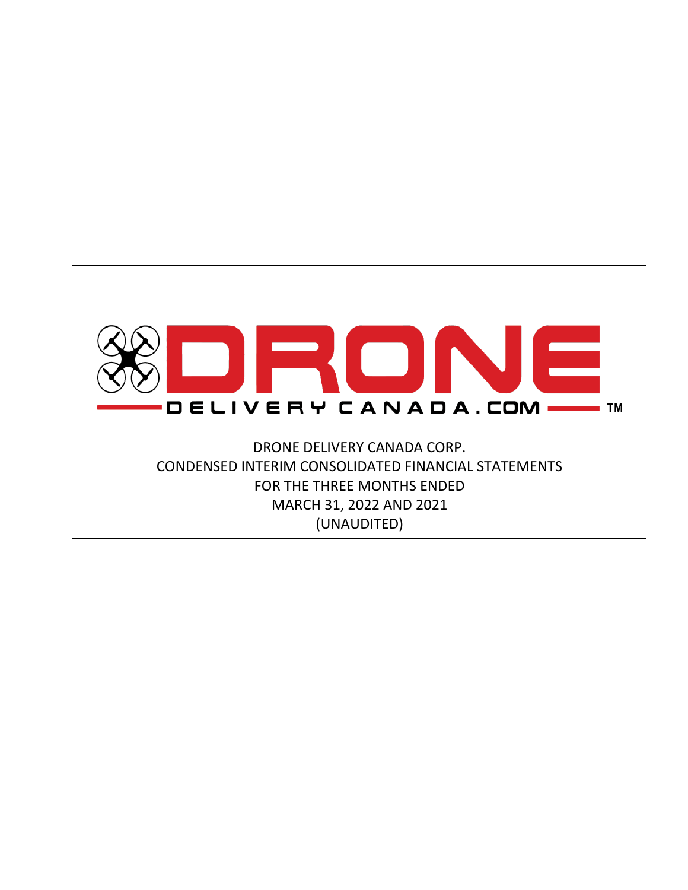

DRONE DELIVERY CANADA CORP. CONDENSED INTERIM CONSOLIDATED FINANCIAL STATEMENTS FOR THE THREE MONTHS ENDED MARCH 31, 2022 AND 2021 (UNAUDITED)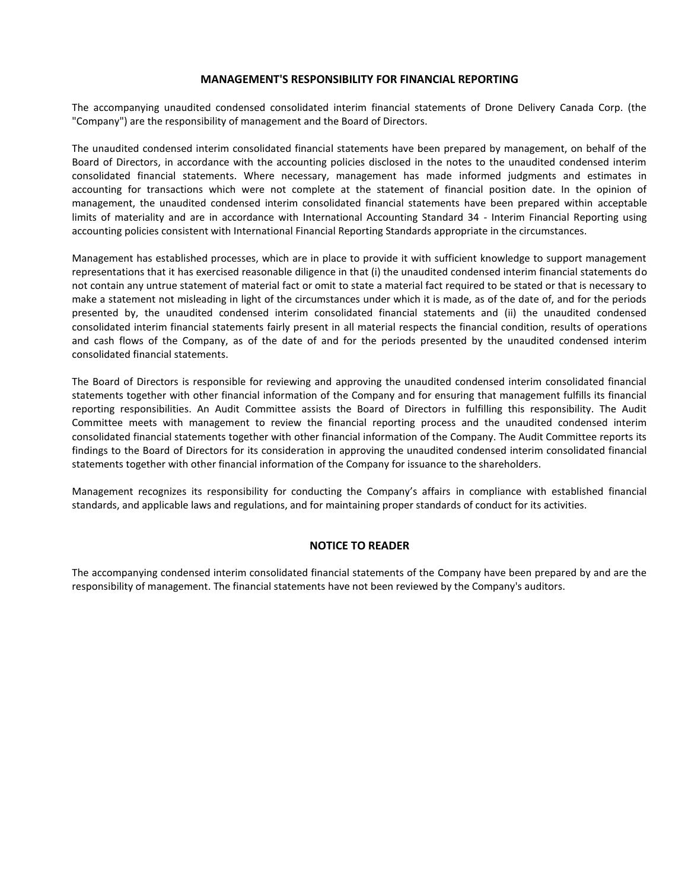#### **MANAGEMENT'S RESPONSIBILITY FOR FINANCIAL REPORTING**

The accompanying unaudited condensed consolidated interim financial statements of Drone Delivery Canada Corp. (the "Company") are the responsibility of management and the Board of Directors.

The unaudited condensed interim consolidated financial statements have been prepared by management, on behalf of the Board of Directors, in accordance with the accounting policies disclosed in the notes to the unaudited condensed interim consolidated financial statements. Where necessary, management has made informed judgments and estimates in accounting for transactions which were not complete at the statement of financial position date. In the opinion of management, the unaudited condensed interim consolidated financial statements have been prepared within acceptable limits of materiality and are in accordance with International Accounting Standard 34 - Interim Financial Reporting using accounting policies consistent with International Financial Reporting Standards appropriate in the circumstances.

Management has established processes, which are in place to provide it with sufficient knowledge to support management representations that it has exercised reasonable diligence in that (i) the unaudited condensed interim financial statements do not contain any untrue statement of material fact or omit to state a material fact required to be stated or that is necessary to make a statement not misleading in light of the circumstances under which it is made, as of the date of, and for the periods presented by, the unaudited condensed interim consolidated financial statements and (ii) the unaudited condensed consolidated interim financial statements fairly present in all material respects the financial condition, results of operations and cash flows of the Company, as of the date of and for the periods presented by the unaudited condensed interim consolidated financial statements.

The Board of Directors is responsible for reviewing and approving the unaudited condensed interim consolidated financial statements together with other financial information of the Company and for ensuring that management fulfills its financial reporting responsibilities. An Audit Committee assists the Board of Directors in fulfilling this responsibility. The Audit Committee meets with management to review the financial reporting process and the unaudited condensed interim consolidated financial statements together with other financial information of the Company. The Audit Committee reports its findings to the Board of Directors for its consideration in approving the unaudited condensed interim consolidated financial statements together with other financial information of the Company for issuance to the shareholders.

Management recognizes its responsibility for conducting the Company's affairs in compliance with established financial standards, and applicable laws and regulations, and for maintaining proper standards of conduct for its activities.

#### **NOTICE TO READER**

The accompanying condensed interim consolidated financial statements of the Company have been prepared by and are the responsibility of management. The financial statements have not been reviewed by the Company's auditors.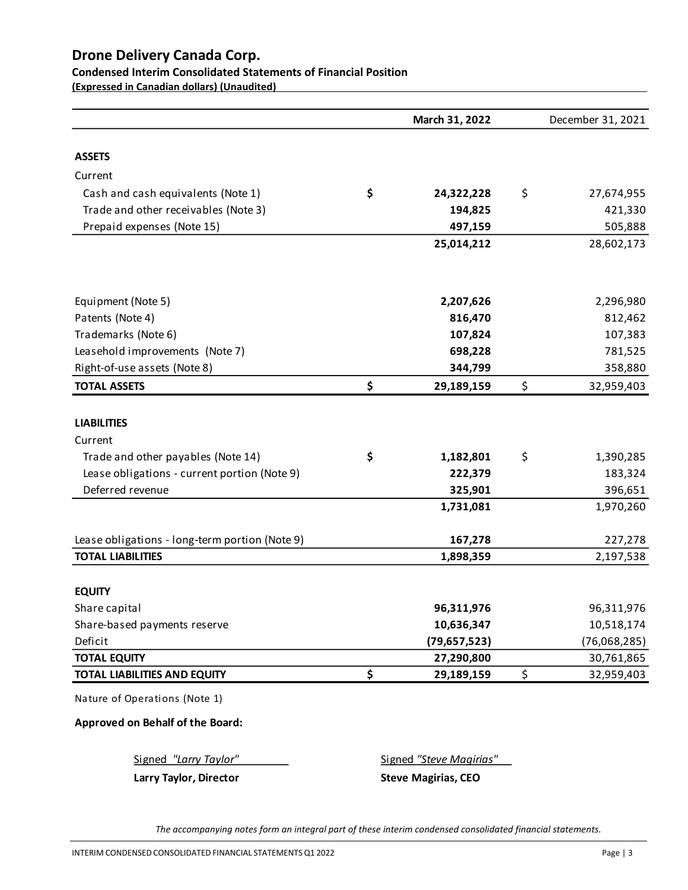# **Condensed Interim Consolidated Statements of Financial Position**

**(Expressed in Canadian dollars) (Unaudited)** 

|                                                | March 31, 2022   | December 31, 2021 |
|------------------------------------------------|------------------|-------------------|
| <b>ASSETS</b>                                  |                  |                   |
| Current                                        |                  |                   |
| Cash and cash equivalents (Note 1)             | \$<br>24,322,228 | \$<br>27,674,955  |
| Trade and other receivables (Note 3)           | 194,825          | 421,330           |
| Prepaid expenses (Note 15)                     | 497,159          | 505,888           |
|                                                | 25,014,212       | 28,602,173        |
| Equipment (Note 5)                             | 2,207,626        | 2,296,980         |
| Patents (Note 4)                               | 816,470          | 812,462           |
| Trademarks (Note 6)                            | 107,824          | 107,383           |
| Leasehold improvements (Note 7)                | 698,228          | 781,525           |
| Right-of-use assets (Note 8)                   | 344,799          | 358,880           |
| <b>TOTAL ASSETS</b>                            | \$<br>29,189,159 | \$<br>32,959,403  |
| <b>LIABILITIES</b>                             |                  |                   |
| Current                                        |                  |                   |
| Trade and other payables (Note 14)             | \$<br>1,182,801  | \$<br>1,390,285   |
| Lease obligations - current portion (Note 9)   | 222,379          | 183,324           |
| Deferred revenue                               | 325,901          | 396,651           |
|                                                | 1,731,081        | 1,970,260         |
| Lease obligations - long-term portion (Note 9) | 167,278          | 227,278           |
| <b>TOTAL LIABILITIES</b>                       | 1,898,359        | 2,197,538         |
| <b>EQUITY</b>                                  |                  |                   |
| Share capital                                  | 96,311,976       | 96,311,976        |
| Share-based payments reserve                   | 10,636,347       | 10,518,174        |
| Deficit                                        | (79, 657, 523)   | (76,068,285)      |
| <b>TOTAL EQUITY</b>                            | 27,290,800       | 30,761,865        |
| <b>TOTAL LIABILITIES AND EQUITY</b>            | \$<br>29,189,159 | \$<br>32,959,403  |
| Nature of Operations (Note 1)                  |                  |                   |

**Approved on Behalf of the Board:**

Signed *"Larry Taylor"* Signed *"Steve Magirias"* 

**Larry Taylor, Director Steve Magirias, CEO** 

*The accompanying notes form an integral part of these interim condensed consolidated financial statements.*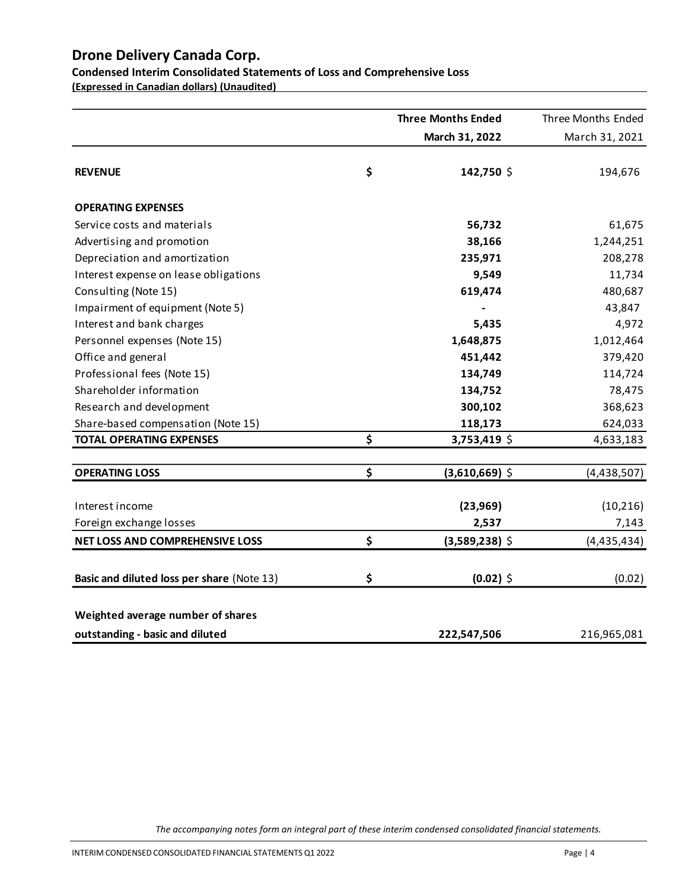**Condensed Interim Consolidated Statements of Loss and Comprehensive Loss**

**(Expressed in Canadian dollars) (Unaudited)** 

|                                            | <b>Three Months Ended</b> | Three Months Ended |
|--------------------------------------------|---------------------------|--------------------|
|                                            | March 31, 2022            | March 31, 2021     |
| <b>REVENUE</b>                             | \$<br>142,750 \$          | 194,676            |
| <b>OPERATING EXPENSES</b>                  |                           |                    |
| Service costs and materials                | 56,732                    | 61,675             |
| Advertising and promotion                  | 38,166                    | 1,244,251          |
| Depreciation and amortization              | 235,971                   | 208,278            |
| Interest expense on lease obligations      | 9,549                     | 11,734             |
| Consulting (Note 15)                       | 619,474                   | 480,687            |
| Impairment of equipment (Note 5)           |                           | 43,847             |
| Interest and bank charges                  | 5,435                     | 4,972              |
| Personnel expenses (Note 15)               | 1,648,875                 | 1,012,464          |
| Office and general                         | 451,442                   | 379,420            |
| Professional fees (Note 15)                | 134,749                   | 114,724            |
| Shareholder information                    | 134,752                   | 78,475             |
| Research and development                   | 300,102                   | 368,623            |
| Share-based compensation (Note 15)         | 118,173                   | 624,033            |
| <b>TOTAL OPERATING EXPENSES</b>            | \$<br>3,753,419 \$        | 4,633,183          |
| <b>OPERATING LOSS</b>                      | \$<br>$(3,610,669)$ \$    | (4,438,507)        |
| Interest income                            | (23, 969)                 | (10, 216)          |
| Foreign exchange losses                    | 2,537                     | 7,143              |
| <b>NET LOSS AND COMPREHENSIVE LOSS</b>     | \$<br>$(3,589,238)$ \$    | (4,435,434)        |
| Basic and diluted loss per share (Note 13) | \$<br>$(0.02)$ \$         | (0.02)             |
| Weighted average number of shares          |                           |                    |
| outstanding - basic and diluted            | 222,547,506               | 216,965,081        |

*The accompanying notes form an integral part of these interim condensed consolidated financial statements.*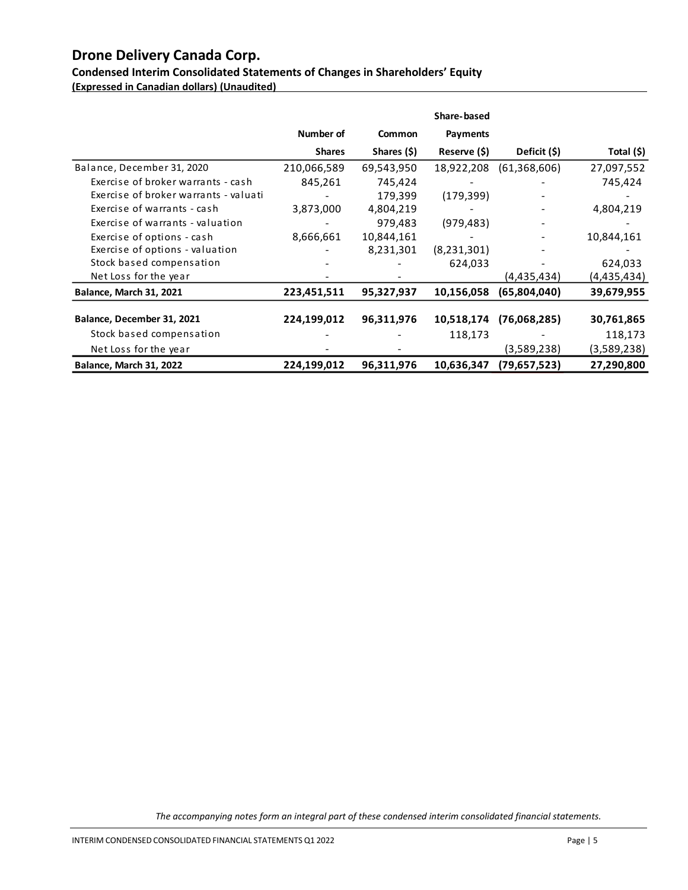**Condensed Interim Consolidated Statements of Changes in Shareholders' Equity (Expressed in Canadian dollars) (Unaudited)** 

|                                       |               |               | Share-based  |              |             |
|---------------------------------------|---------------|---------------|--------------|--------------|-------------|
|                                       | Number of     | <b>Common</b> | Payments     |              |             |
|                                       | <b>Shares</b> | Shares (\$)   | Reserve (\$) | Deficit (\$) | Total (\$)  |
| Balance, December 31, 2020            | 210,066,589   | 69,543,950    | 18,922,208   | (61,368,606) | 27,097,552  |
| Exercise of broker warrants - cash    | 845,261       | 745,424       |              |              | 745,424     |
| Exercise of broker warrants - valuati |               | 179,399       | (179, 399)   |              |             |
| Exercise of warrants - cash           | 3,873,000     | 4,804,219     |              |              | 4,804,219   |
| Exercise of warrants - valuation      |               | 979,483       | (979, 483)   |              |             |
| Exercise of options - cash            | 8,666,661     | 10,844,161    |              |              | 10,844,161  |
| Exercise of options - valuation       |               | 8,231,301     | (8,231,301)  |              |             |
| Stock based compensation              |               |               | 624,033      |              | 624,033     |
| Net Loss for the year                 |               |               |              | (4,435,434)  | (4,435,434) |
| <b>Balance, March 31, 2021</b>        | 223,451,511   | 95,327,937    | 10,156,058   | (65,804,040) | 39,679,955  |
|                                       |               |               |              |              |             |
| Balance, December 31, 2021            | 224,199,012   | 96,311,976    | 10,518,174   | (76,068,285) | 30,761,865  |
| Stock based compensation              |               |               | 118,173      |              | 118,173     |
| Net Loss for the year                 |               |               |              | (3,589,238)  | (3,589,238) |
| <b>Balance, March 31, 2022</b>        | 224,199,012   | 96,311,976    | 10,636,347   | (79,657,523) | 27,290,800  |

*The accompanying notes form an integral part of these condensed interim consolidated financial statements.*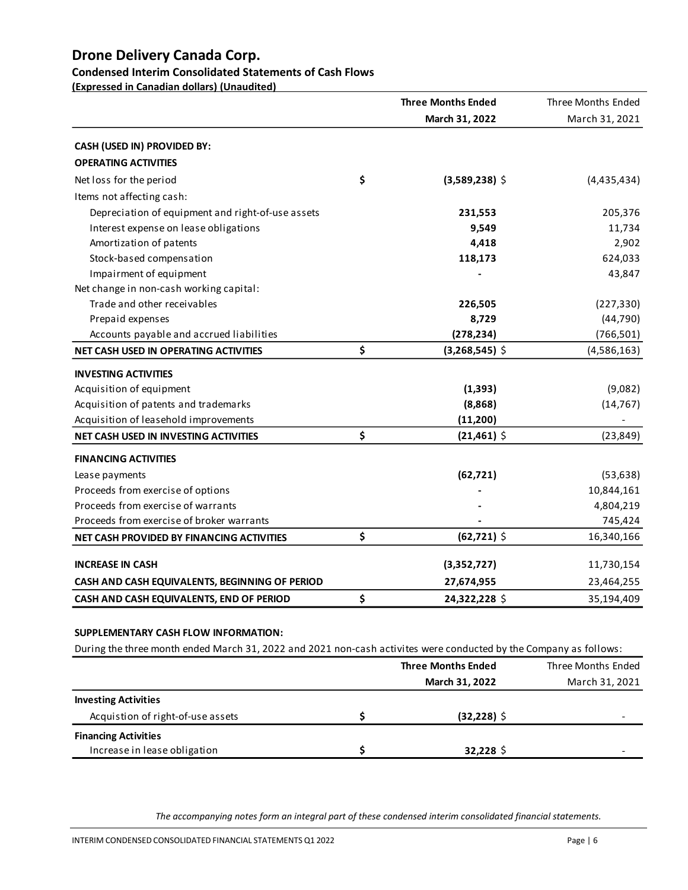# **Condensed Interim Consolidated Statements of Cash Flows**

**(Expressed in Canadian dollars) (Unaudited)** 

|                                                                                                                   |    | <b>Three Months Ended</b> | Three Months Ended |
|-------------------------------------------------------------------------------------------------------------------|----|---------------------------|--------------------|
|                                                                                                                   |    | March 31, 2022            | March 31, 2021     |
| CASH (USED IN) PROVIDED BY:                                                                                       |    |                           |                    |
| <b>OPERATING ACTIVITIES</b>                                                                                       |    |                           |                    |
| Net loss for the period                                                                                           | \$ | $(3,589,238)$ \$          | (4,435,434)        |
| Items not affecting cash:                                                                                         |    |                           |                    |
|                                                                                                                   |    |                           |                    |
| Depreciation of equipment and right-of-use assets                                                                 |    | 231,553<br>9,549          | 205,376<br>11,734  |
| Interest expense on lease obligations<br>Amortization of patents                                                  |    |                           |                    |
| Stock-based compensation                                                                                          |    | 4,418<br>118,173          | 2,902              |
|                                                                                                                   |    |                           | 624,033            |
| Impairment of equipment                                                                                           |    |                           | 43,847             |
| Net change in non-cash working capital:<br>Trade and other receivables                                            |    |                           |                    |
|                                                                                                                   |    | 226,505                   | (227, 330)         |
| Prepaid expenses                                                                                                  |    | 8,729                     | (44, 790)          |
| Accounts payable and accrued liabilities                                                                          |    | (278, 234)                | (766, 501)         |
| NET CASH USED IN OPERATING ACTIVITIES                                                                             | \$ | $(3,268,545)$ \$          | (4,586,163)        |
| <b>INVESTING ACTIVITIES</b>                                                                                       |    |                           |                    |
| Acquisition of equipment                                                                                          |    | (1, 393)                  | (9,082)            |
| Acquisition of patents and trademarks                                                                             |    | (8,868)                   | (14, 767)          |
| Acquisition of leasehold improvements                                                                             |    | (11,200)                  |                    |
| NET CASH USED IN INVESTING ACTIVITIES                                                                             | \$ | $(21,461)$ \$             | (23, 849)          |
| <b>FINANCING ACTIVITIES</b>                                                                                       |    |                           |                    |
| Lease payments                                                                                                    |    | (62, 721)                 | (53, 638)          |
| Proceeds from exercise of options                                                                                 |    |                           | 10,844,161         |
| Proceeds from exercise of warrants                                                                                |    |                           | 4,804,219          |
| Proceeds from exercise of broker warrants                                                                         |    |                           | 745,424            |
| NET CASH PROVIDED BY FINANCING ACTIVITIES                                                                         | \$ | $(62,721)$ \$             | 16,340,166         |
|                                                                                                                   |    |                           |                    |
| <b>INCREASE IN CASH</b>                                                                                           |    | (3,352,727)               | 11,730,154         |
| CASH AND CASH EQUIVALENTS, BEGINNING OF PERIOD                                                                    |    | 27,674,955                | 23,464,255         |
| CASH AND CASH EQUIVALENTS, END OF PERIOD                                                                          | Ş  | 24,322,228 \$             | 35,194,409         |
|                                                                                                                   |    |                           |                    |
| SUPPLEMENTARY CASH FLOW INFORMATION:                                                                              |    |                           |                    |
| During the three month ended March 31, 2022 and 2021 non-cash activites were conducted by the Company as follows: |    |                           |                    |
|                                                                                                                   |    | <b>Three Months Ended</b> | Three Months Ended |
|                                                                                                                   |    | March 31, 2022            | March 31, 2021     |

| <b>Investing Activities</b>       |                |   |
|-----------------------------------|----------------|---|
| Acquistion of right-of-use assets | $(32, 228)$ \$ | - |
| <b>Financing Activities</b>       |                |   |
| Increase in lease obligation      | $32,228$ \$    |   |

*The accompanying notes form an integral part of these condensed interim consolidated financial statements.*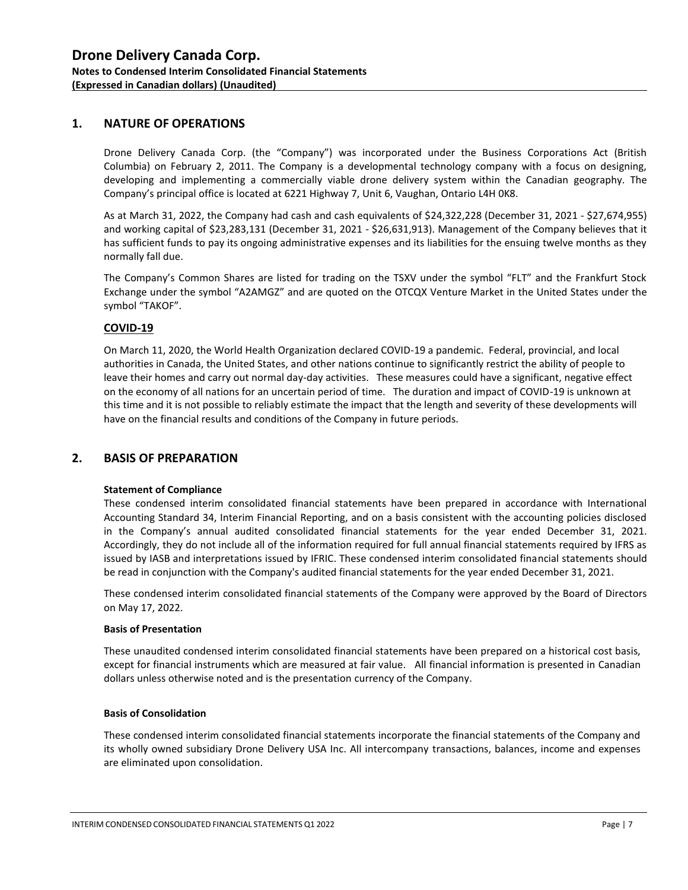#### **1. NATURE OF OPERATIONS**

Drone Delivery Canada Corp. (the "Company") was incorporated under the Business Corporations Act (British Columbia) on February 2, 2011. The Company is a developmental technology company with a focus on designing, developing and implementing a commercially viable drone delivery system within the Canadian geography. The Company's principal office is located at 6221 Highway 7, Unit 6, Vaughan, Ontario L4H 0K8.

As at March 31, 2022, the Company had cash and cash equivalents of \$24,322,228 (December 31, 2021 - \$27,674,955) and working capital of \$23,283,131 (December 31, 2021 - \$26,631,913). Management of the Company believes that it has sufficient funds to pay its ongoing administrative expenses and its liabilities for the ensuing twelve months as they normally fall due.

The Company's Common Shares are listed for trading on the TSXV under the symbol "FLT" and the Frankfurt Stock Exchange under the symbol "A2AMGZ" and are quoted on the OTCQX Venture Market in the United States under the symbol "TAKOF".

#### **COVID-19**

On March 11, 2020, the World Health Organization declared COVID-19 a pandemic. Federal, provincial, and local authorities in Canada, the United States, and other nations continue to significantly restrict the ability of people to leave their homes and carry out normal day-day activities. These measures could have a significant, negative effect on the economy of all nations for an uncertain period of time. The duration and impact of COVID-19 is unknown at this time and it is not possible to reliably estimate the impact that the length and severity of these developments will have on the financial results and conditions of the Company in future periods.

### **2. BASIS OF PREPARATION**

#### **Statement of Compliance**

These condensed interim consolidated financial statements have been prepared in accordance with International Accounting Standard 34, Interim Financial Reporting, and on a basis consistent with the accounting policies disclosed in the Company's annual audited consolidated financial statements for the year ended December 31, 2021. Accordingly, they do not include all of the information required for full annual financial statements required by IFRS as issued by IASB and interpretations issued by IFRIC. These condensed interim consolidated financial statements should be read in conjunction with the Company's audited financial statements for the year ended December 31, 2021.

These condensed interim consolidated financial statements of the Company were approved by the Board of Directors on May 17, 2022.

#### **Basis of Presentation**

These unaudited condensed interim consolidated financial statements have been prepared on a historical cost basis, except for financial instruments which are measured at fair value. All financial information is presented in Canadian dollars unless otherwise noted and is the presentation currency of the Company.

#### **Basis of Consolidation**

These condensed interim consolidated financial statements incorporate the financial statements of the Company and its wholly owned subsidiary Drone Delivery USA Inc. All intercompany transactions, balances, income and expenses are eliminated upon consolidation.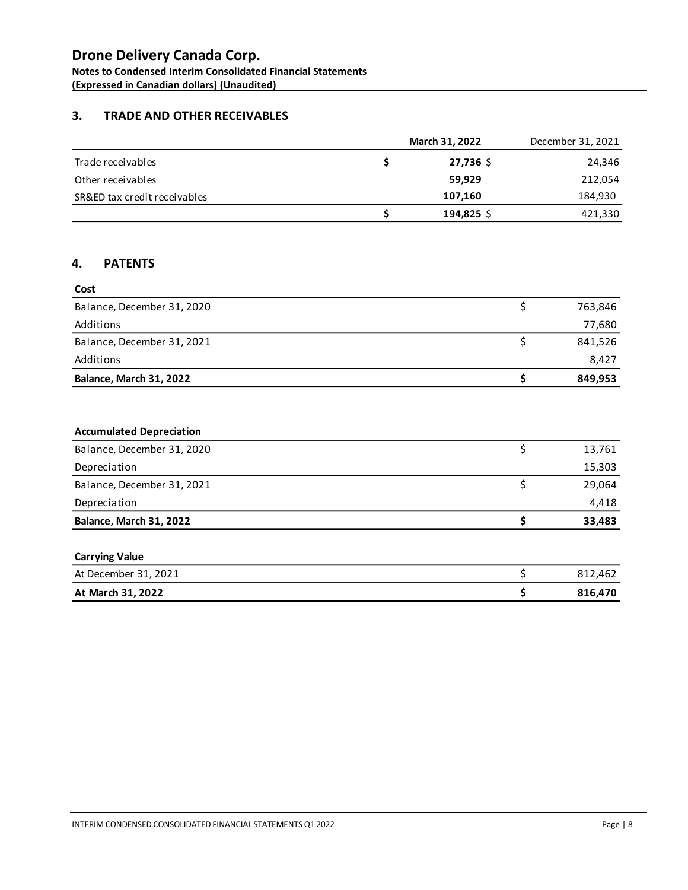**Notes to Condensed Interim Consolidated Financial Statements (Expressed in Canadian dollars) (Unaudited)** 

### **3. TRADE AND OTHER RECEIVABLES**

|                              | March 31, 2022 | December 31, 2021 |
|------------------------------|----------------|-------------------|
| Trade receivables            | $27,736$ \$    | 24,346            |
| Other receivables            | 59.929         | 212,054           |
| SR&ED tax credit receivables | 107.160        | 184,930           |
|                              | $194,825$ \$   | 421,330           |

#### **4. PATENTS**

| Cost                       |         |
|----------------------------|---------|
| Balance, December 31, 2020 | 763,846 |
| Additions                  | 77,680  |
| Balance, December 31, 2021 | 841,526 |
| Additions                  | 8,427   |
| Balance, March 31, 2022    | 849,953 |

#### **Accumulated Depreciation**

| Balance, December 31, 2020 | 13,761 |
|----------------------------|--------|
| Depreciation               | 15,303 |
| Balance, December 31, 2021 | 29.064 |
| Depreciation               | 4,418  |
| Balance, March 31, 2022    | 33,483 |

| <b>Carrying Value</b> |         |
|-----------------------|---------|
| At December 31, 2021  | 812.462 |
| At March 31, 2022     | 816.470 |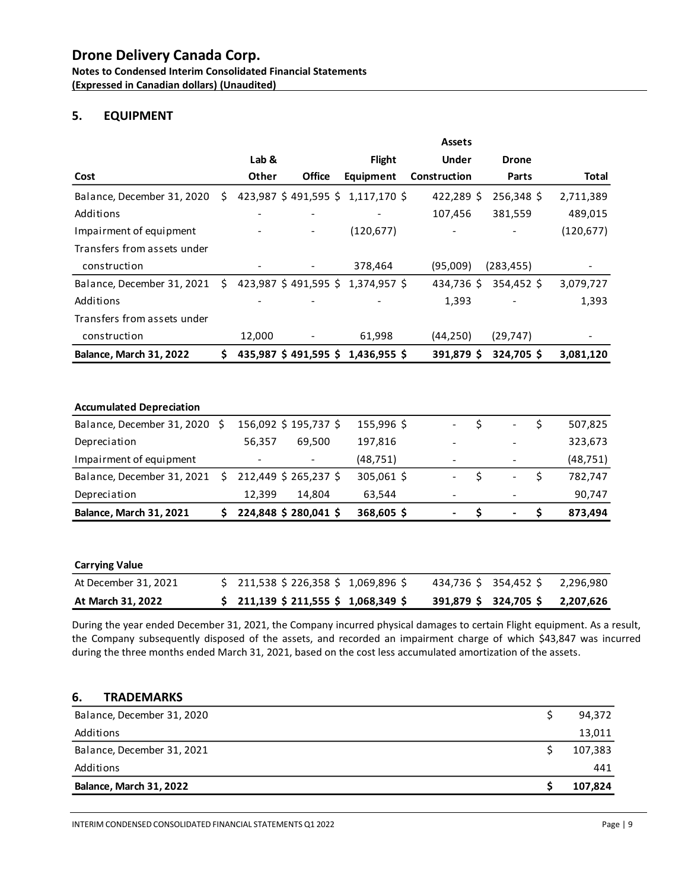**Notes to Condensed Interim Consolidated Financial Statements (Expressed in Canadian dollars) (Unaudited)** 

### **5. EQUIPMENT**

|                                 |    |        |                       |                                  | <b>Assets</b> |              |            |
|---------------------------------|----|--------|-----------------------|----------------------------------|---------------|--------------|------------|
|                                 |    | Lab &  |                       | <b>Flight</b>                    | <b>Under</b>  | <b>Drone</b> |            |
| Cost                            |    | Other  | Office                | Equipment                        | Construction  | Parts        | Total      |
| Balance, December 31, 2020      | S. |        |                       | 423,987 \$491,595 \$1,117,170 \$ | 422,289 \$    | 256,348 \$   | 2,711,389  |
| Additions                       |    |        |                       |                                  | 107,456       | 381,559      | 489,015    |
| Impairment of equipment         |    |        |                       | (120, 677)                       |               |              | (120, 677) |
| Transfers from assets under     |    |        |                       |                                  |               |              |            |
| construction                    |    |        |                       | 378,464                          | (95,009)      | (283, 455)   |            |
| Balance, December 31, 2021      | Ŝ. |        | 423,987 \$491,595 \$  | 1,374,957 \$                     | 434,736 \$    | 354,452 \$   | 3,079,727  |
| Additions                       |    |        |                       |                                  | 1,393         |              | 1,393      |
| Transfers from assets under     |    |        |                       |                                  |               |              |            |
| construction                    |    | 12,000 |                       | 61,998                           | (44, 250)     | (29, 747)    |            |
| <b>Balance, March 31, 2022</b>  | \$ |        |                       | 435,987 \$491,595 \$1,436,955 \$ | 391,879\$     | 324,705\$    | 3,081,120  |
|                                 |    |        |                       |                                  |               |              |            |
| <b>Accumulated Depreciation</b> |    |        |                       |                                  |               |              |            |
| Balance, December 31, 2020      | S. |        | 156,092 \$ 195,737 \$ | 155,996\$                        |               | Ś<br>Ś       | 507,825    |
| Depreciation                    |    | 56,357 | 69,500                | 197,816                          |               |              | 323,673    |

| Balance, March 31, 2021                                  |                          | 224,848 \$280,041 \$     | 368,605 \$ | ۰. | ۰.                       | 873.494   |
|----------------------------------------------------------|--------------------------|--------------------------|------------|----|--------------------------|-----------|
| Depreciation                                             | 12.399                   | 14.804                   | 63.544     | -  | -                        | 90,747    |
| Balance, December 31, 2021 $\;$ \$ 212,449 \$ 265,237 \$ |                          |                          | 305,061 \$ |    |                          | 782.747   |
| Impairment of equipment                                  | $\overline{\phantom{0}}$ | $\overline{\phantom{a}}$ | (48, 751)  | -  | $\overline{\phantom{0}}$ | (48, 751) |

| <b>Carrying Value</b> |                                     |                       |                       |           |
|-----------------------|-------------------------------------|-----------------------|-----------------------|-----------|
| At December 31, 2021  | \$211,538 \$226,358 \$1,069,896 \$  |                       | 434,736 \$ 354,452 \$ | 2,296,980 |
| At March 31, 2022     | $$211,139 \$211,555 \$1,068,349 \$$ | 391,879 \$ 324,705 \$ |                       | 2,207,626 |

During the year ended December 31, 2021, the Company incurred physical damages to certain Flight equipment. As a result, the Company subsequently disposed of the assets, and recorded an impairment charge of which \$43,847 was incurred during the three months ended March 31, 2021, based on the cost less accumulated amortization of the assets.

#### **6. TRADEMARKS**

| Balance, March 31, 2022    | 107,824 |
|----------------------------|---------|
|                            |         |
| Additions                  | 441     |
| Balance, December 31, 2021 | 107,383 |
| Additions                  | 13,011  |
| Balance, December 31, 2020 | 94,372  |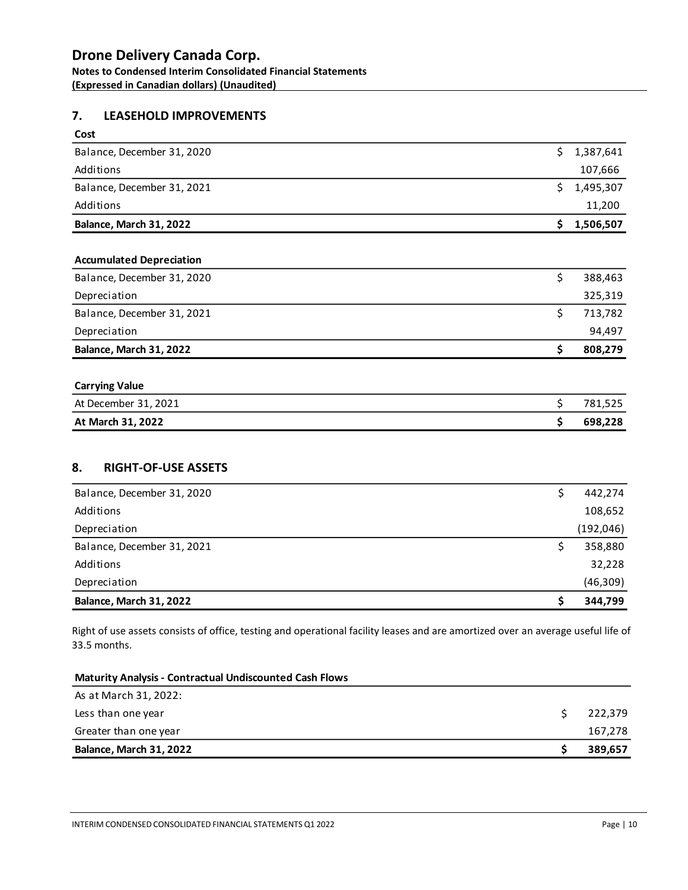### **Drone Delivery Canada Corp. Notes to Condensed Interim Consolidated Financial Statements**

**(Expressed in Canadian dollars) (Unaudited)** 

### **7. LEASEHOLD IMPROVEMENTS**

| Cost                       |             |
|----------------------------|-------------|
| Balance, December 31, 2020 | \$1,387,641 |
| Additions                  | 107,666     |
| Balance, December 31, 2021 | \$1,495,307 |
| Additions                  | 11,200      |
| Balance, March 31, 2022    | 1,506,507   |

#### **Accumulated Depreciation**

| Balance, December 31, 2020     | 388,463 |
|--------------------------------|---------|
| Depreciation                   | 325,319 |
| Balance, December 31, 2021     | 713,782 |
| Depreciation                   | 94,497  |
| <b>Balance, March 31, 2022</b> | 808,279 |

# **Carrying Value** At December 31, 2021 **\$** 781,525 **At March 31, 2022 \$ 698,228**

### **8. RIGHT-OF-USE ASSETS**

| Balance, December 31, 2020 | 442,274   |
|----------------------------|-----------|
| Additions                  | 108,652   |
| Depreciation               | (192,046) |
| Balance, December 31, 2021 | 358,880   |
| Additions                  | 32,228    |
| Depreciation               | (46, 309) |
| Balance, March 31, 2022    | 344,799   |

Right of use assets consists of office, testing and operational facility leases and are amortized over an average useful life of 33.5 months.

| <b>Maturity Analysis - Contractual Undiscounted Cash Flows</b> |         |
|----------------------------------------------------------------|---------|
| As at March 31, 2022:                                          |         |
| Less than one year                                             | 222,379 |
| Greater than one year                                          | 167,278 |
| <b>Balance, March 31, 2022</b>                                 | 389,657 |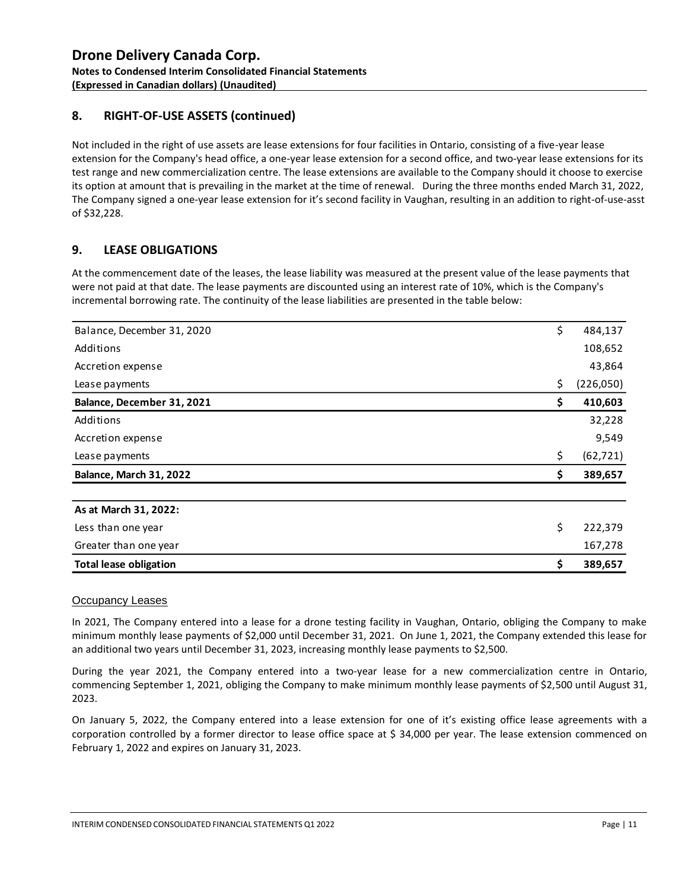### **8. RIGHT-OF-USE ASSETS (continued)**

Not included in the right of use assets are lease extensions for four facilities in Ontario, consisting of a five-year lease extension for the Company's head office, a one-year lease extension for a second office, and two-year lease extensions for its test range and new commercialization centre. The lease extensions are available to the Company should it choose to exercise its option at amount that is prevailing in the market at the time of renewal. During the three months ended March 31, 2022, The Company signed a one-year lease extension for it's second facility in Vaughan, resulting in an addition to right-of-use-asst of \$32,228.

### **9. LEASE OBLIGATIONS**

At the commencement date of the leases, the lease liability was measured at the present value of the lease payments that were not paid at that date. The lease payments are discounted using an interest rate of 10%, which is the Company's incremental borrowing rate. The continuity of the lease liabilities are presented in the table below:

| Balance, December 31, 2020    | \$ | 484,137   |
|-------------------------------|----|-----------|
| Additions                     |    | 108,652   |
| Accretion expense             |    | 43,864    |
| Lease payments                | \$ | (226,050) |
| Balance, December 31, 2021    | \$ | 410,603   |
| Additions                     |    | 32,228    |
| Accretion expense             |    | 9,549     |
| Lease payments                | \$ | (62, 721) |
| Balance, March 31, 2022       | Ş. | 389,657   |
|                               |    |           |
| As at March 31, 2022:         |    |           |
| Less than one year            | \$ | 222,379   |
| Greater than one year         |    | 167,278   |
| <b>Total lease obligation</b> | \$ | 389,657   |

#### Occupancy Leases

In 2021, The Company entered into a lease for a drone testing facility in Vaughan, Ontario, obliging the Company to make minimum monthly lease payments of \$2,000 until December 31, 2021. On June 1, 2021, the Company extended this lease for an additional two years until December 31, 2023, increasing monthly lease payments to \$2,500.

During the year 2021, the Company entered into a two-year lease for a new commercialization centre in Ontario, commencing September 1, 2021, obliging the Company to make minimum monthly lease payments of \$2,500 until August 31, 2023.

On January 5, 2022, the Company entered into a lease extension for one of it's existing office lease agreements with a corporation controlled by a former director to lease office space at \$ 34,000 per year. The lease extension commenced on February 1, 2022 and expires on January 31, 2023.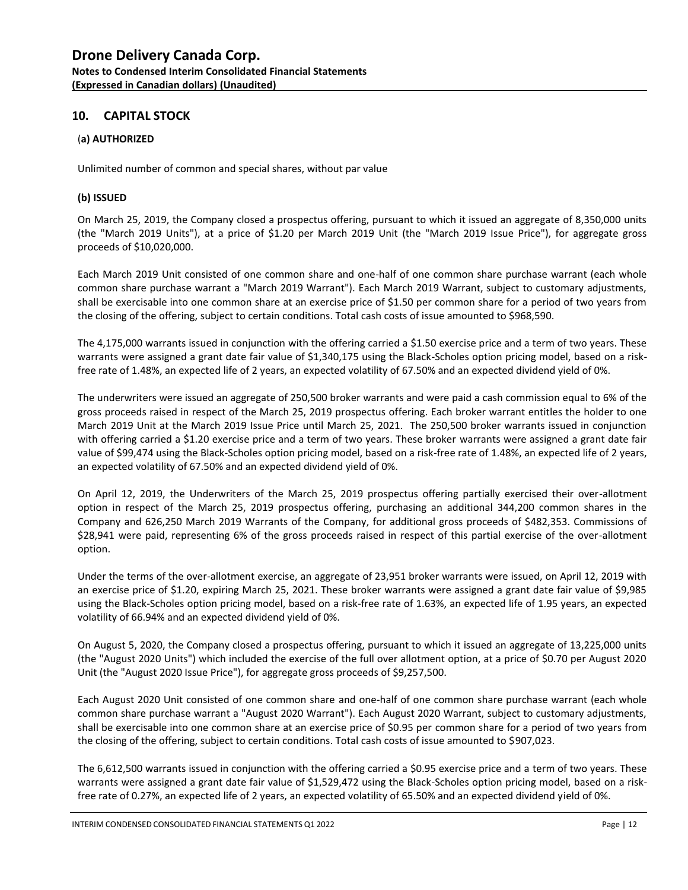#### **10. CAPITAL STOCK**

#### (**a) AUTHORIZED**

Unlimited number of common and special shares, without par value

#### **(b) ISSUED**

On March 25, 2019, the Company closed a prospectus offering, pursuant to which it issued an aggregate of 8,350,000 units (the "March 2019 Units"), at a price of \$1.20 per March 2019 Unit (the "March 2019 Issue Price"), for aggregate gross proceeds of \$10,020,000.

Each March 2019 Unit consisted of one common share and one-half of one common share purchase warrant (each whole common share purchase warrant a "March 2019 Warrant"). Each March 2019 Warrant, subject to customary adjustments, shall be exercisable into one common share at an exercise price of \$1.50 per common share for a period of two years from the closing of the offering, subject to certain conditions. Total cash costs of issue amounted to \$968,590.

The 4,175,000 warrants issued in conjunction with the offering carried a \$1.50 exercise price and a term of two years. These warrants were assigned a grant date fair value of \$1,340,175 using the Black-Scholes option pricing model, based on a riskfree rate of 1.48%, an expected life of 2 years, an expected volatility of 67.50% and an expected dividend yield of 0%.

The underwriters were issued an aggregate of 250,500 broker warrants and were paid a cash commission equal to 6% of the gross proceeds raised in respect of the March 25, 2019 prospectus offering. Each broker warrant entitles the holder to one March 2019 Unit at the March 2019 Issue Price until March 25, 2021. The 250,500 broker warrants issued in conjunction with offering carried a \$1.20 exercise price and a term of two years. These broker warrants were assigned a grant date fair value of \$99,474 using the Black-Scholes option pricing model, based on a risk-free rate of 1.48%, an expected life of 2 years, an expected volatility of 67.50% and an expected dividend yield of 0%.

On April 12, 2019, the Underwriters of the March 25, 2019 prospectus offering partially exercised their over-allotment option in respect of the March 25, 2019 prospectus offering, purchasing an additional 344,200 common shares in the Company and 626,250 March 2019 Warrants of the Company, for additional gross proceeds of \$482,353. Commissions of \$28,941 were paid, representing 6% of the gross proceeds raised in respect of this partial exercise of the over-allotment option.

Under the terms of the over-allotment exercise, an aggregate of 23,951 broker warrants were issued, on April 12, 2019 with an exercise price of \$1.20, expiring March 25, 2021. These broker warrants were assigned a grant date fair value of \$9,985 using the Black-Scholes option pricing model, based on a risk-free rate of 1.63%, an expected life of 1.95 years, an expected volatility of 66.94% and an expected dividend yield of 0%.

On August 5, 2020, the Company closed a prospectus offering, pursuant to which it issued an aggregate of 13,225,000 units (the "August 2020 Units") which included the exercise of the full over allotment option, at a price of \$0.70 per August 2020 Unit (the "August 2020 Issue Price"), for aggregate gross proceeds of \$9,257,500.

Each August 2020 Unit consisted of one common share and one-half of one common share purchase warrant (each whole common share purchase warrant a "August 2020 Warrant"). Each August 2020 Warrant, subject to customary adjustments, shall be exercisable into one common share at an exercise price of \$0.95 per common share for a period of two years from the closing of the offering, subject to certain conditions. Total cash costs of issue amounted to \$907,023.

The 6,612,500 warrants issued in conjunction with the offering carried a \$0.95 exercise price and a term of two years. These warrants were assigned a grant date fair value of \$1,529,472 using the Black-Scholes option pricing model, based on a riskfree rate of 0.27%, an expected life of 2 years, an expected volatility of 65.50% and an expected dividend yield of 0%.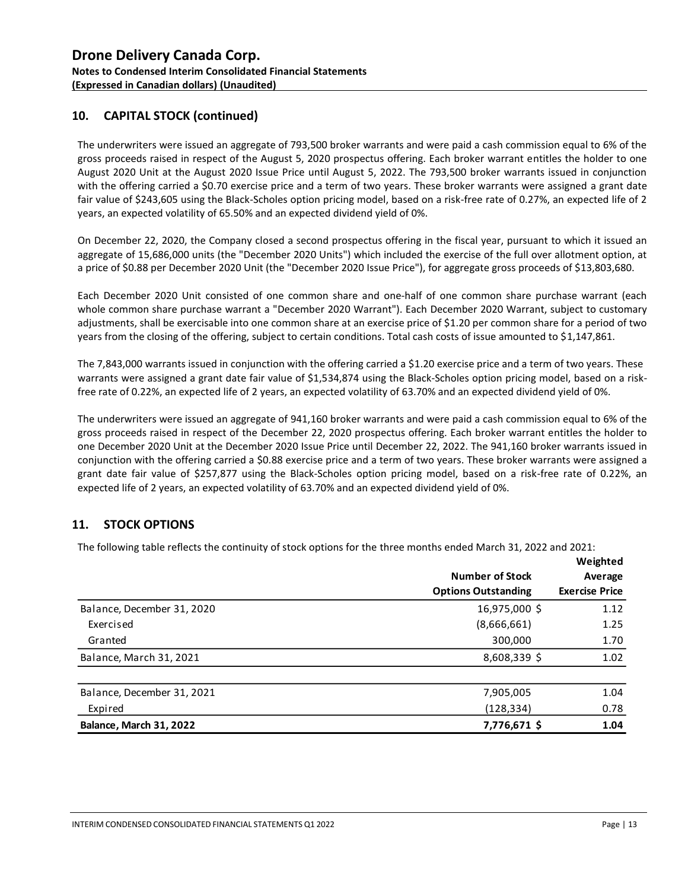### **10. CAPITAL STOCK (continued)**

The underwriters were issued an aggregate of 793,500 broker warrants and were paid a cash commission equal to 6% of the gross proceeds raised in respect of the August 5, 2020 prospectus offering. Each broker warrant entitles the holder to one August 2020 Unit at the August 2020 Issue Price until August 5, 2022. The 793,500 broker warrants issued in conjunction with the offering carried a \$0.70 exercise price and a term of two years. These broker warrants were assigned a grant date fair value of \$243,605 using the Black-Scholes option pricing model, based on a risk-free rate of 0.27%, an expected life of 2 years, an expected volatility of 65.50% and an expected dividend yield of 0%.

On December 22, 2020, the Company closed a second prospectus offering in the fiscal year, pursuant to which it issued an aggregate of 15,686,000 units (the "December 2020 Units") which included the exercise of the full over allotment option, at a price of \$0.88 per December 2020 Unit (the "December 2020 Issue Price"), for aggregate gross proceeds of \$13,803,680.

Each December 2020 Unit consisted of one common share and one-half of one common share purchase warrant (each whole common share purchase warrant a "December 2020 Warrant"). Each December 2020 Warrant, subject to customary adjustments, shall be exercisable into one common share at an exercise price of \$1.20 per common share for a period of two years from the closing of the offering, subject to certain conditions. Total cash costs of issue amounted to \$1,147,861.

The 7,843,000 warrants issued in conjunction with the offering carried a \$1.20 exercise price and a term of two years. These warrants were assigned a grant date fair value of \$1,534,874 using the Black-Scholes option pricing model, based on a riskfree rate of 0.22%, an expected life of 2 years, an expected volatility of 63.70% and an expected dividend yield of 0%.

The underwriters were issued an aggregate of 941,160 broker warrants and were paid a cash commission equal to 6% of the gross proceeds raised in respect of the December 22, 2020 prospectus offering. Each broker warrant entitles the holder to one December 2020 Unit at the December 2020 Issue Price until December 22, 2022. The 941,160 broker warrants issued in conjunction with the offering carried a \$0.88 exercise price and a term of two years. These broker warrants were assigned a grant date fair value of \$257,877 using the Black-Scholes option pricing model, based on a risk-free rate of 0.22%, an expected life of 2 years, an expected volatility of 63.70% and an expected dividend yield of 0%.

#### **11. STOCK OPTIONS**

The following table reflects the continuity of stock options for the three months ended March 31, 2022 and 2021:

|                            | <b>Number of Stock</b>     | Weighted<br>Average   |
|----------------------------|----------------------------|-----------------------|
|                            | <b>Options Outstanding</b> | <b>Exercise Price</b> |
| Balance, December 31, 2020 | 16,975,000 \$              | 1.12                  |
| Exercised                  | (8,666,661)                | 1.25                  |
| Granted                    | 300,000                    | 1.70                  |
| Balance, March 31, 2021    | $8,608,339$ \$             | 1.02                  |
| Balance, December 31, 2021 | 7,905,005                  | 1.04                  |
| Expired                    | (128, 334)                 | 0.78                  |
| Balance, March 31, 2022    | 7,776,671\$                | 1.04                  |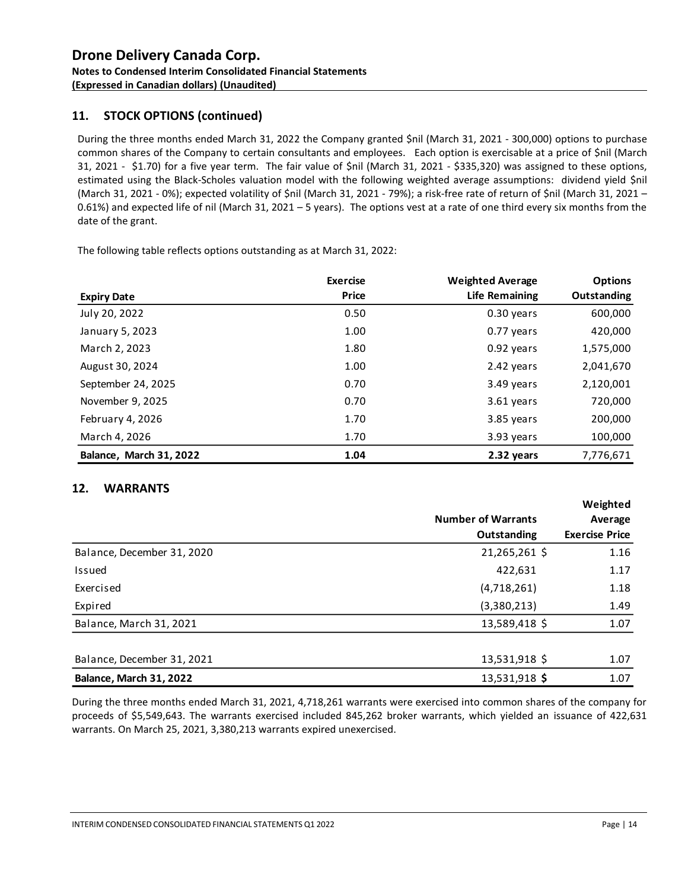### **11. STOCK OPTIONS (continued)**

During the three months ended March 31, 2022 the Company granted \$nil (March 31, 2021 - 300,000) options to purchase common shares of the Company to certain consultants and employees. Each option is exercisable at a price of \$nil (March 31, 2021 - \$1.70) for a five year term. The fair value of \$nil (March 31, 2021 - \$335,320) was assigned to these options, estimated using the Black-Scholes valuation model with the following weighted average assumptions: dividend yield \$nil (March 31, 2021 - 0%); expected volatility of \$nil (March 31, 2021 - 79%); a risk-free rate of return of \$nil (March 31, 2021 – 0.61%) and expected life of nil (March 31, 2021 – 5 years). The options vest at a rate of one third every six months from the date of the grant.

The following table reflects options outstanding as at March 31, 2022:

|                         | <b>Exercise</b> | <b>Weighted Average</b> | <b>Options</b> |
|-------------------------|-----------------|-------------------------|----------------|
| <b>Expiry Date</b>      | <b>Price</b>    | Life Remaining          | Outstanding    |
| July 20, 2022           | 0.50            | 0.30 years              | 600,000        |
| January 5, 2023         | 1.00            | 0.77 years              | 420,000        |
| March 2, 2023           | 1.80            | 0.92 years              | 1,575,000      |
| August 30, 2024         | 1.00            | 2.42 years              | 2,041,670      |
| September 24, 2025      | 0.70            | 3.49 years              | 2,120,001      |
| November 9, 2025        | 0.70            | 3.61 years              | 720,000        |
| February 4, 2026        | 1.70            | 3.85 years              | 200,000        |
| March 4, 2026           | 1.70            | 3.93 years              | 100,000        |
| Balance, March 31, 2022 | 1.04            | 2.32 years              | 7,776,671      |

#### **12. WARRANTS**

|                            | <b>Number of Warrants</b> | Weighted<br>Average   |
|----------------------------|---------------------------|-----------------------|
|                            | Outstanding               | <b>Exercise Price</b> |
| Balance, December 31, 2020 | 21,265,261 \$             | 1.16                  |
| Issued                     | 422,631                   | 1.17                  |
| Exercised                  | (4,718,261)               | 1.18                  |
| Expired                    | (3,380,213)               | 1.49                  |
| Balance, March 31, 2021    | 13,589,418 \$             | 1.07                  |
| Balance, December 31, 2021 | 13,531,918 \$             | 1.07                  |
| Balance, March 31, 2022    | 13,531,918 \$             | 1.07                  |

During the three months ended March 31, 2021, 4,718,261 warrants were exercised into common shares of the company for proceeds of \$5,549,643. The warrants exercised included 845,262 broker warrants, which yielded an issuance of 422,631 warrants. On March 25, 2021, 3,380,213 warrants expired unexercised.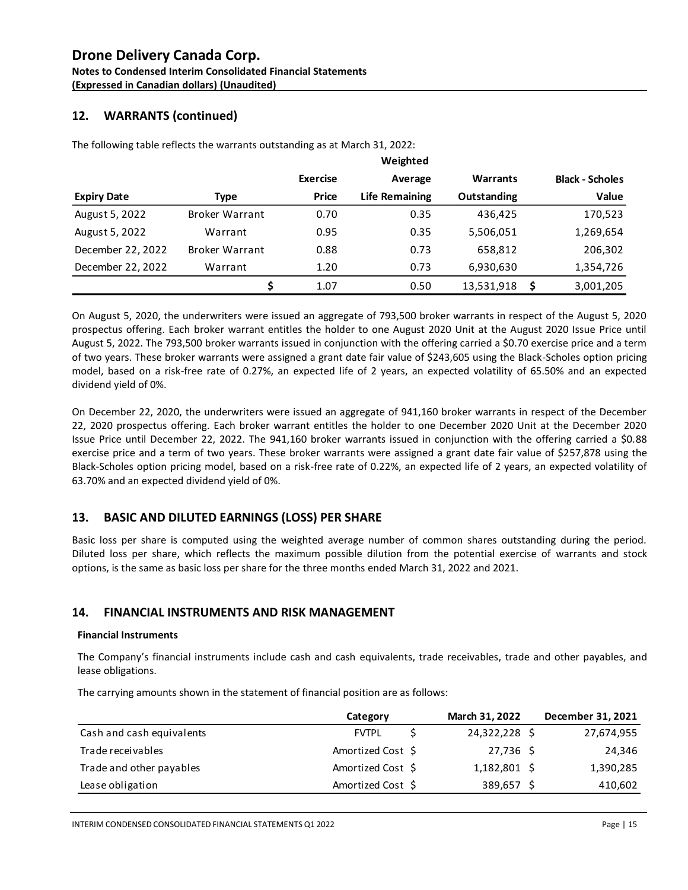**Notes to Condensed Interim Consolidated Financial Statements (Expressed in Canadian dollars) (Unaudited)** 

### **12. WARRANTS (continued)**

The following table reflects the warrants outstanding as at March 31, 2022:

|                    |                       |                 | Weighted              |             |   |                        |
|--------------------|-----------------------|-----------------|-----------------------|-------------|---|------------------------|
|                    |                       | <b>Exercise</b> | Average               | Warrants    |   | <b>Black - Scholes</b> |
| <b>Expiry Date</b> | Type                  | Price           | <b>Life Remaining</b> | Outstanding |   | Value                  |
| August 5, 2022     | <b>Broker Warrant</b> | 0.70            | 0.35                  | 436.425     |   | 170,523                |
| August 5, 2022     | Warrant               | 0.95            | 0.35                  | 5,506,051   |   | 1,269,654              |
| December 22, 2022  | <b>Broker Warrant</b> | 0.88            | 0.73                  | 658,812     |   | 206,302                |
| December 22, 2022  | Warrant               | 1.20            | 0.73                  | 6,930,630   |   | 1,354,726              |
|                    |                       | 1.07            | 0.50                  | 13,531,918  | Ŝ | 3,001,205              |

On August 5, 2020, the underwriters were issued an aggregate of 793,500 broker warrants in respect of the August 5, 2020 prospectus offering. Each broker warrant entitles the holder to one August 2020 Unit at the August 2020 Issue Price until August 5, 2022. The 793,500 broker warrants issued in conjunction with the offering carried a \$0.70 exercise price and a term of two years. These broker warrants were assigned a grant date fair value of \$243,605 using the Black-Scholes option pricing model, based on a risk-free rate of 0.27%, an expected life of 2 years, an expected volatility of 65.50% and an expected dividend yield of 0%.

On December 22, 2020, the underwriters were issued an aggregate of 941,160 broker warrants in respect of the December 22, 2020 prospectus offering. Each broker warrant entitles the holder to one December 2020 Unit at the December 2020 Issue Price until December 22, 2022. The 941,160 broker warrants issued in conjunction with the offering carried a \$0.88 exercise price and a term of two years. These broker warrants were assigned a grant date fair value of \$257,878 using the Black-Scholes option pricing model, based on a risk-free rate of 0.22%, an expected life of 2 years, an expected volatility of 63.70% and an expected dividend yield of 0%.

### **13. BASIC AND DILUTED EARNINGS (LOSS) PER SHARE**

Basic loss per share is computed using the weighted average number of common shares outstanding during the period. Diluted loss per share, which reflects the maximum possible dilution from the potential exercise of warrants and stock options, is the same as basic loss per share for the three months ended March 31, 2022 and 2021.

### **14. FINANCIAL INSTRUMENTS AND RISK MANAGEMENT**

#### **Financial Instruments**

The Company's financial instruments include cash and cash equivalents, trade receivables, trade and other payables, and lease obligations.

| lease obligations.                                                                |                   |   |                |                   |
|-----------------------------------------------------------------------------------|-------------------|---|----------------|-------------------|
| The carrying amounts shown in the statement of financial position are as follows: |                   |   |                |                   |
|                                                                                   | Category          |   | March 31, 2022 | December 31, 2021 |
| Cash and cash equivalents                                                         | <b>FVTPL</b>      | S | 24,322,228 \$  | 27,674,955        |
| Trade receivables                                                                 | Amortized Cost \$ |   | $27,736$ \$    | 24,346            |
| Trade and other payables                                                          | Amortized Cost \$ |   | 1,182,801 \$   | 1,390,285         |
| Lease obligation                                                                  | Amortized Cost \$ |   | 389,657 \$     | 410,602           |
|                                                                                   |                   |   |                |                   |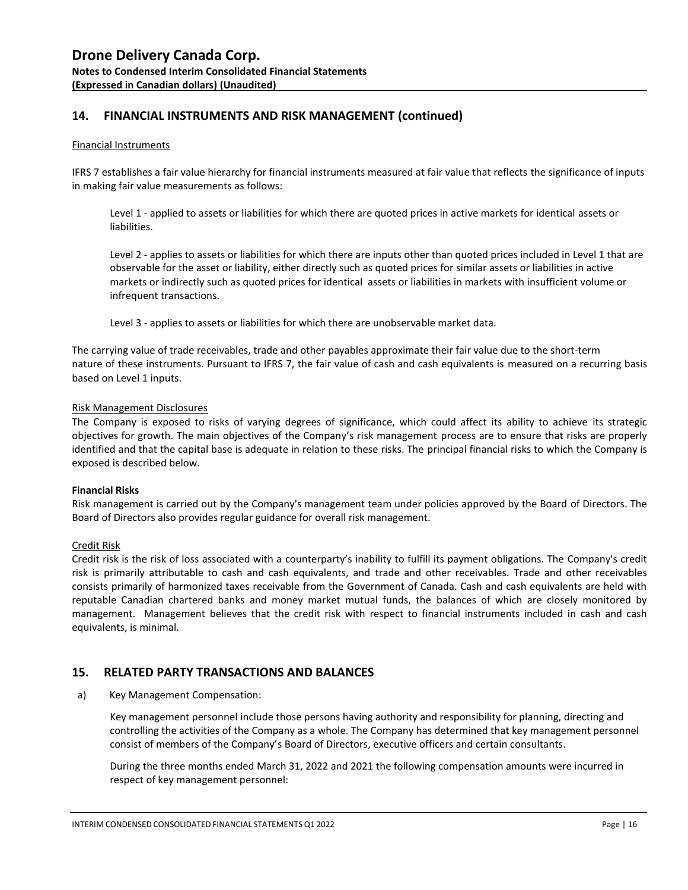### **14. FINANCIAL INSTRUMENTS AND RISK MANAGEMENT (continued)**

#### Financial Instruments

IFRS 7 establishes a fair value hierarchy for financial instruments measured at fair value that reflects the significance of inputs in making fair value measurements as follows:

Level 1 - applied to assets or liabilities for which there are quoted prices in active markets for identical assets or liabilities.

Level 2 - applies to assets or liabilities for which there are inputs other than quoted prices included in Level 1 that are observable for the asset or liability, either directly such as quoted prices for similar assets or liabilities in active markets or indirectly such as quoted prices for identical assets or liabilities in markets with insufficient volume or infrequent transactions.

Level 3 - applies to assets or liabilities for which there are unobservable market data.

The carrying value of trade receivables, trade and other payables approximate their fair value due to the short-term nature of these instruments. Pursuant to IFRS 7, the fair value of cash and cash equivalents is measured on a recurring basis based on Level 1 inputs.

#### Risk Management Disclosures

The Company is exposed to risks of varying degrees of significance, which could affect its ability to achieve its strategic objectives for growth. The main objectives of the Company's risk management process are to ensure that risks are properly identified and that the capital base is adequate in relation to these risks. The principal financial risks to which the Company is exposed is described below.

#### **Financial Risks**

Risk management is carried out by the Company's management team under policies approved by the Board of Directors. The Board of Directors also provides regular guidance for overall risk management.

#### Credit Risk

Credit risk is the risk of loss associated with a counterparty's inability to fulfill its payment obligations. The Company's credit risk is primarily attributable to cash and cash equivalents, and trade and other receivables. Trade and other receivables consists primarily of harmonized taxes receivable from the Government of Canada. Cash and cash equivalents are held with reputable Canadian chartered banks and money market mutual funds, the balances of which are closely monitored by management. Management believes that the credit risk with respect to financial instruments included in cash and cash equivalents, is minimal.

#### **15. RELATED PARTY TRANSACTIONS AND BALANCES**

a) Key Management Compensation:

Key management personnel include those persons having authority and responsibility for planning, directing and controlling the activities of the Company as a whole. The Company has determined that key management personnel consist of members of the Company's Board of Directors, executive officers and certain consultants.

During the three months ended March 31, 2022 and 2021 the following compensation amounts were incurred in respect of key management personnel: